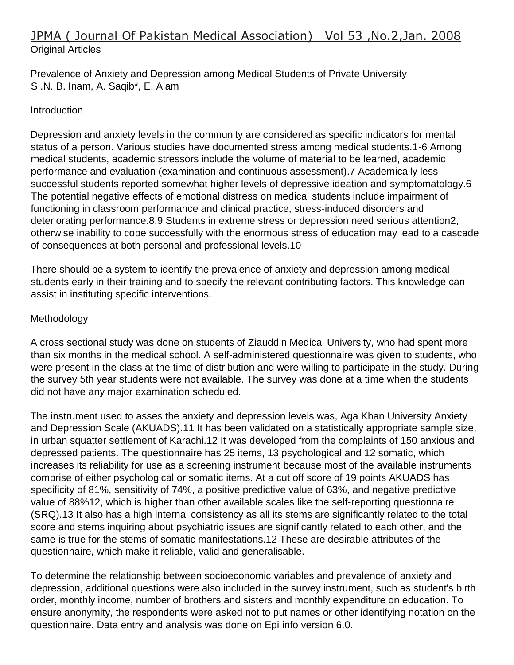# JPMA ( Journal Of Pakistan Medical Association) Vol 53 ,No.2,Jan. 2008 Original Articles

Prevalence of Anxiety and Depression among Medical Students of Private University S .N. B. Inam, A. Saqib\*, E. Alam

#### Introduction

Depression and anxiety levels in the community are considered as specific indicators for mental status of a person. Various studies have documented stress among medical students.1-6 Among medical students, academic stressors include the volume of material to be learned, academic performance and evaluation (examination and continuous assessment).7 Academically less successful students reported somewhat higher levels of depressive ideation and symptomatology.6 The potential negative effects of emotional distress on medical students include impairment of functioning in classroom performance and clinical practice, stress-induced disorders and deteriorating performance.8,9 Students in extreme stress or depression need serious attention2, otherwise inability to cope successfully with the enormous stress of education may lead to a cascade of consequences at both personal and professional levels.10

There should be a system to identify the prevalence of anxiety and depression among medical students early in their training and to specify the relevant contributing factors. This knowledge can assist in instituting specific interventions.

## Methodology

A cross sectional study was done on students of Ziauddin Medical University, who had spent more than six months in the medical school. A self-administered questionnaire was given to students, who were present in the class at the time of distribution and were willing to participate in the study. During the survey 5th year students were not available. The survey was done at a time when the students did not have any major examination scheduled.

The instrument used to asses the anxiety and depression levels was, Aga Khan University Anxiety and Depression Scale (AKUADS).11 It has been validated on a statistically appropriate sample size, in urban squatter settlement of Karachi.12 It was developed from the complaints of 150 anxious and depressed patients. The questionnaire has 25 items, 13 psychological and 12 somatic, which increases its reliability for use as a screening instrument because most of the available instruments comprise of either psychological or somatic items. At a cut off score of 19 points AKUADS has specificity of 81%, sensitivity of 74%, a positive predictive value of 63%, and negative predictive value of 88%12, which is higher than other available scales like the self-reporting questionnaire (SRQ).13 It also has a high internal consistency as all its stems are significantly related to the total score and stems inquiring about psychiatric issues are significantly related to each other, and the same is true for the stems of somatic manifestations.12 These are desirable attributes of the questionnaire, which make it reliable, valid and generalisable.

To determine the relationship between socioeconomic variables and prevalence of anxiety and depression, additional questions were also included in the survey instrument, such as student's birth order, monthly income, number of brothers and sisters and monthly expenditure on education. To ensure anonymity, the respondents were asked not to put names or other identifying notation on the questionnaire. Data entry and analysis was done on Epi info version 6.0.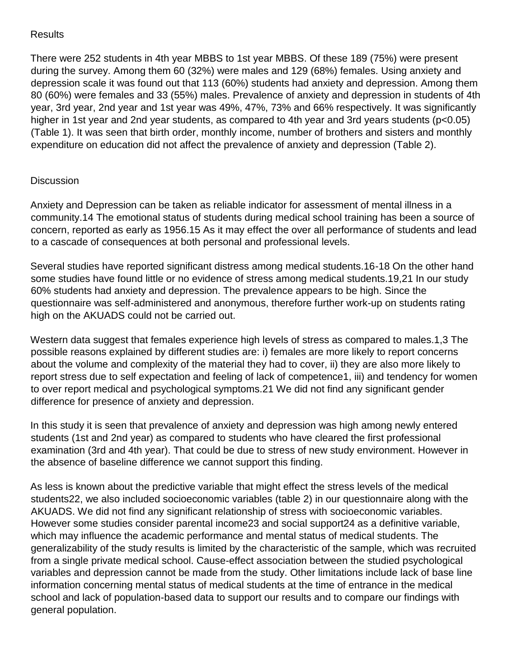## **Results**

There were 252 students in 4th year MBBS to 1st year MBBS. Of these 189 (75%) were present during the survey. Among them 60 (32%) were males and 129 (68%) females. Using anxiety and depression scale it was found out that 113 (60%) students had anxiety and depression. Among them 80 (60%) were females and 33 (55%) males. Prevalence of anxiety and depression in students of 4th year, 3rd year, 2nd year and 1st year was 49%, 47%, 73% and 66% respectively. It was significantly higher in 1st year and 2nd year students, as compared to 4th year and 3rd years students (p<0.05) (Table 1). It was seen that birth order, monthly income, number of brothers and sisters and monthly expenditure on education did not affect the prevalence of anxiety and depression (Table 2).

#### **Discussion**

Anxiety and Depression can be taken as reliable indicator for assessment of mental illness in a community.14 The emotional status of students during medical school training has been a source of concern, reported as early as 1956.15 As it may effect the over all performance of students and lead to a cascade of consequences at both personal and professional levels.

Several studies have reported significant distress among medical students.16-18 On the other hand some studies have found little or no evidence of stress among medical students.19,21 In our study 60% students had anxiety and depression. The prevalence appears to be high. Since the questionnaire was self-administered and anonymous, therefore further work-up on students rating high on the AKUADS could not be carried out.

Western data suggest that females experience high levels of stress as compared to males.1,3 The possible reasons explained by different studies are: i) females are more likely to report concerns about the volume and complexity of the material they had to cover, ii) they are also more likely to report stress due to self expectation and feeling of lack of competence1, iii) and tendency for women to over report medical and psychological symptoms.21 We did not find any significant gender difference for presence of anxiety and depression.

In this study it is seen that prevalence of anxiety and depression was high among newly entered students (1st and 2nd year) as compared to students who have cleared the first professional examination (3rd and 4th year). That could be due to stress of new study environment. However in the absence of baseline difference we cannot support this finding.

As less is known about the predictive variable that might effect the stress levels of the medical students22, we also included socioeconomic variables (table 2) in our questionnaire along with the AKUADS. We did not find any significant relationship of stress with socioeconomic variables. However some studies consider parental income23 and social support24 as a definitive variable, which may influence the academic performance and mental status of medical students. The generalizability of the study results is limited by the characteristic of the sample, which was recruited from a single private medical school. Cause-effect association between the studied psychological variables and depression cannot be made from the study. Other limitations include lack of base line information concerning mental status of medical students at the time of entrance in the medical school and lack of population-based data to support our results and to compare our findings with general population.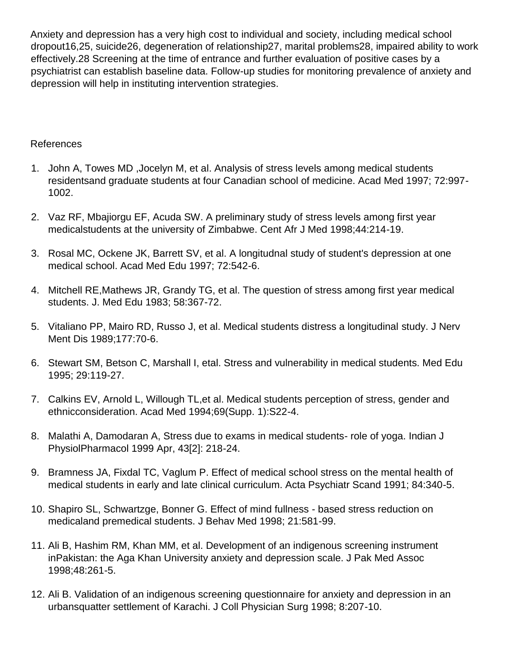Anxiety and depression has a very high cost to individual and society, including medical school dropout16,25, suicide26, degeneration of relationship27, marital problems28, impaired ability to work effectively.28 Screening at the time of entrance and further evaluation of positive cases by a psychiatrist can establish baseline data. Follow-up studies for monitoring prevalence of anxiety and depression will help in instituting intervention strategies.

### References

- 1. John A, Towes MD ,Jocelyn M, et al. Analysis of stress levels among medical students residentsand graduate students at four Canadian school of medicine. Acad Med 1997; 72:997- 1002.
- 2. Vaz RF, Mbajiorgu EF, Acuda SW. A preliminary study of stress levels among first year medicalstudents at the university of Zimbabwe. Cent Afr J Med 1998;44:214-19.
- 3. Rosal MC, Ockene JK, Barrett SV, et al. A longitudnal study of student's depression at one medical school. Acad Med Edu 1997; 72:542-6.
- 4. Mitchell RE,Mathews JR, Grandy TG, et al. The question of stress among first year medical students. J. Med Edu 1983; 58:367-72.
- 5. Vitaliano PP, Mairo RD, Russo J, et al. Medical students distress a longitudinal study. J Nerv Ment Dis 1989;177:70-6.
- 6. Stewart SM, Betson C, Marshall I, etal. Stress and vulnerability in medical students. Med Edu 1995; 29:119-27.
- 7. Calkins EV, Arnold L, Willough TL,et al. Medical students perception of stress, gender and ethnicconsideration. Acad Med 1994;69(Supp. 1):S22-4.
- 8. Malathi A, Damodaran A, Stress due to exams in medical students- role of yoga. Indian J PhysiolPharmacol 1999 Apr, 43[2]: 218-24.
- 9. Bramness JA, Fixdal TC, Vaglum P. Effect of medical school stress on the mental health of medical students in early and late clinical curriculum. Acta Psychiatr Scand 1991; 84:340-5.
- 10. Shapiro SL, Schwartzge, Bonner G. Effect of mind fullness based stress reduction on medicaland premedical students. J Behav Med 1998; 21:581-99.
- 11. Ali B, Hashim RM, Khan MM, et al. Development of an indigenous screening instrument inPakistan: the Aga Khan University anxiety and depression scale. J Pak Med Assoc 1998;48:261-5.
- 12. Ali B. Validation of an indigenous screening questionnaire for anxiety and depression in an urbansquatter settlement of Karachi. J Coll Physician Surg 1998; 8:207-10.